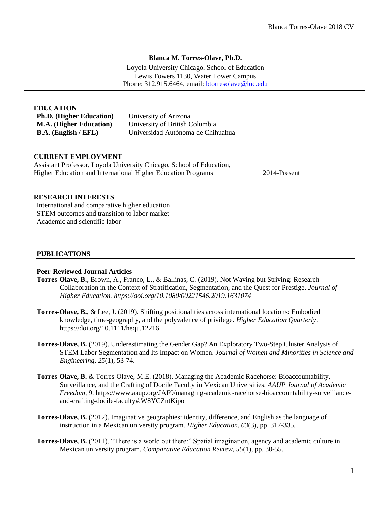## **Blanca M. Torres-Olave, Ph.D.**

Loyola University Chicago, School of Education Lewis Towers 1130, Water Tower Campus Phone: 312.915.6464, email: [btorresolave@luc.edu](mailto:blancat@email.arizona.edu)

| University of Arizona             |
|-----------------------------------|
| University of British Columbia    |
| Universidad Autónoma de Chihuahua |
|                                   |

## **CURRENT EMPLOYMENT**

Assistant Professor, Loyola University Chicago, School of Education, Higher Education and International Higher Education Programs 2014-Present

## **RESEARCH INTERESTS**

International and comparative higher education STEM outcomes and transition to labor market Academic and scientific labor

## **PUBLICATIONS**

#### **Peer-Reviewed Journal Articles**

- **Torres-Olave, B.,** Brown, A., Franco, L., & Ballinas, C. (2019). Not Waving but Striving: Research Collaboration in the Context of Stratification, Segmentation, and the Quest for Prestige. *Journal of Higher Education. https://doi.org/10.1080/00221546.2019.1631074*
- **Torres-Olave, B.**, & Lee, J. (2019). Shifting positionalities across international locations: Embodied knowledge, time-geography, and the polyvalence of privilege. *Higher Education Quarterly*. https://doi.org/10.1111/hequ.12216
- **Torres-Olave, B.** (2019). Underestimating the Gender Gap? An Exploratory Two-Step Cluster Analysis of STEM Labor Segmentation and Its Impact on Women. *Journal of Women and Minorities in Science and Engineering, 25*(1), 53-74.
- **Torres-Olave, B.** & Torres-Olave, M.E. (2018). Managing the Academic Racehorse: Bioaccountability, Surveillance, and the Crafting of Docile Faculty in Mexican Universities. *AAUP Journal of Academic Freedom*, 9. https://www.aaup.org/JAF9/managing-academic-racehorse-bioaccountability-surveillanceand-crafting-docile-faculty#.W8YCZntKipo
- **Torres-Olave, B.** (2012). Imaginative geographies: identity, difference, and English as the language of instruction in a Mexican university program. *Higher Education, 63*(3), pp. 317-335.
- **Torres-Olave, B.** (2011). "There is a world out there:" Spatial imagination, agency and academic culture in Mexican university program. *Comparative Education Review, 55*(1), pp. 30-55.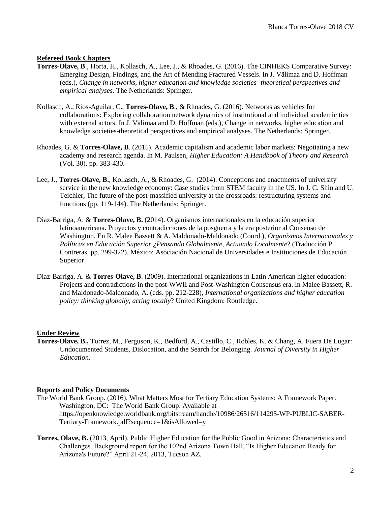## **Refereed Book Chapters**

- **Torres-Olave, B**., Horta, H., Kollasch, A., Lee, J., & Rhoades, G. (2016). The CINHEKS Comparative Survey: Emerging Design, Findings, and the Art of Mending Fractured Vessels. In J. Välimaa and D. Hoffman (eds.), *Change in networks, higher education and knowledge societies -theoretical perspectives and empirical analyses*. The Netherlands: Springer.
- Kollasch, A., Rios-Aguilar, C., **Torres-Olave, B**., & Rhoades, G. (2016). Networks as vehicles for collaborations: Exploring collaboration network dynamics of institutional and individual academic ties with external actors. In J. Välimaa and D. Hoffman (eds.), Change in networks, higher education and knowledge societies-theoretical perspectives and empirical analyses. The Netherlands: Springer.
- Rhoades, G. & **Torres-Olave, B**. (2015). Academic capitalism and academic labor markets: Negotiating a new academy and research agenda. In M. Paulsen, *Higher Education: A Handbook of Theory and Research* (Vol. 30), pp. 383-430.
- Lee, J., **Torres-Olave, B.**, Kollasch, A., & Rhoades, G. (2014). Conceptions and enactments of university service in the new knowledge economy: Case studies from STEM faculty in the US. In J. C. Shin and U. Teichler, The future of the post-massified university at the crossroads: restructuring systems and functions (pp. 119-144). The Netherlands: Springer.
- Diaz-Barriga, A. & **Torres-Olave, B.** (2014). Organismos internacionales en la educación superior latinoamericana. Proyectos y contradicciones de la posguerra y la era posterior al Consenso de Washington. En R. Malee Bassett & A. Maldonado-Maldonado (Coord.), *Organismos Internacionales y Políticas en Educación Superior ¿Pensando Globalmente, Actuando Localmente*? (Traducción P. Contreras, pp. 299-322). México: Asociación Nacional de Universidades e Instituciones de Educación Superior.
- Diaz-Barriga, A. & **Torres-Olave, B**. (2009). International organizations in Latin American higher education: Projects and contradictions in the post-WWII and Post-Washington Consensus era. In Malee Bassett, R. and Maldonado-Maldonado, A. (eds. pp. 212-228), *International organizations and higher education policy: thinking globally, acting locally*? United Kingdom: Routledge.

## **Under Review**

**Torres-Olave, B.,** Torrez, M., Ferguson, K., Bedford, A., Castillo, C., Robles, K. & Chang, A. Fuera De Lugar: Undocumented Students, Dislocation, and the Search for Belonging. *Journal of Diversity in Higher Education*.

## **Reports and Policy Documents**

- The World Bank Group. (2016). What Matters Most for Tertiary Education Systems: A Framework Paper. Washington, DC: The World Bank Group. Available at https://openknowledge.worldbank.org/bitstream/handle/10986/26516/114295-WP-PUBLIC-SABER-Tertiary-Framework.pdf?sequence=1&isAllowed=y
- **Torres, Olave, B.** (2013, April). Public Higher Education for the Public Good in Arizona: Characteristics and Challenges. Background report for the 102nd Arizona Town Hall, "Is Higher Education Ready for Arizona's Future?" April 21-24, 2013, Tucson AZ.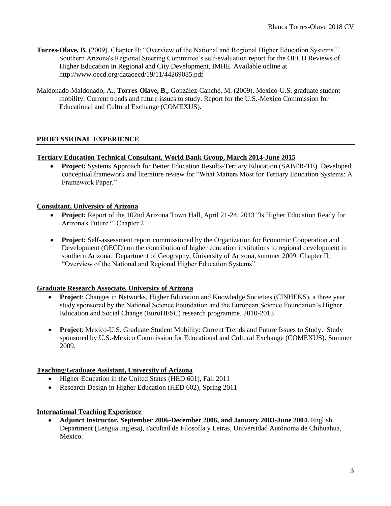- **Torres-Olave, B.** (2009). Chapter II: "Overview of the National and Regional Higher Education Systems." Southern Arizona's Regional Steering Committee's self-evaluation report for the OECD Reviews of Higher Education in Regional and City Development, IMHE. Available online at http://www.oecd.org/dataoecd/19/11/44269085.pdf
- Maldonado-Maldonado, A., **Torres-Olave, B.,** González-Canché, M. (2009). Mexico-U.S. graduate student mobility: Current trends and future issues to study. Report for the U.S.-Mexico Commission for Educational and Cultural Exchange (COMEXUS).

# **PROFESSIONAL EXPERIENCE**

## **Tertiary Education Technical Consultant, World Bank Group, March 2014-June 2015**

• **Project:** Systems Approach for Better Education Results-Tertiary Education (SABER-TE). Developed conceptual framework and literature review for "What Matters Most for Tertiary Education Systems: A Framework Paper."

## **Consultant, University of Arizona**

- **Project:** Report of the 102nd Arizona Town Hall, April 21-24, 2013 "Is Higher Education Ready for Arizona's Future?" Chapter 2.
- **Project:** Self-assessment report commissioned by the Organization for Economic Cooperation and Development (OECD) on the contribution of higher education institutions to regional development in southern Arizona. Department of Geography, University of Arizona, summer 2009. Chapter II, "Overview of the National and Regional Higher Education Systems"

## **Graduate Research Associate, University of Arizona**

- **Project**: Changes in Networks, Higher Education and Knowledge Societies (CINHEKS), a three year study sponsored by the National Science Foundation and the European Science Foundation's Higher Education and Social Change (EuroHESC) research programme. 2010-2013
- **Project**: Mexico-U.S. Graduate Student Mobility: Current Trends and Future Issues to Study. Study sponsored by U.S.-Mexico Commission for Educational and Cultural Exchange (COMEXUS). Summer 2009.

## **Teaching/Graduate Assistant, University of Arizona**

- Higher Education in the United States (HED 601), Fall 2011
- Research Design in Higher Education (HED 602), Spring 2011

## **International Teaching Experience**

• **Adjunct Instructor, September 2006-December 2006, and January 2003-June 2004.** English Department (Lengua Inglesa), Facultad de Filosofía y Letras, Universidad Autónoma de Chihuahua, Mexico.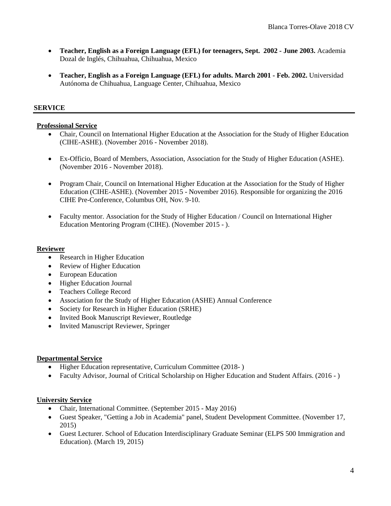- **Teacher, English as a Foreign Language (EFL) for teenagers, Sept. 2002 - June 2003.** Academia Dozal de Inglés, Chihuahua, Chihuahua, Mexico
- **Teacher, English as a Foreign Language (EFL) for adults. March 2001 - Feb. 2002.** Universidad Autónoma de Chihuahua, Language Center, Chihuahua, Mexico

# **SERVICE**

## **Professional Service**

- Chair, Council on International Higher Education at the Association for the Study of Higher Education (CIHE-ASHE). (November 2016 - November 2018).
- Ex-Officio, Board of Members, Association, Association for the Study of Higher Education (ASHE). (November 2016 - November 2018).
- Program Chair, Council on International Higher Education at the Association for the Study of Higher Education (CIHE-ASHE). (November 2015 - November 2016). Responsible for organizing the 2016 CIHE Pre-Conference, Columbus OH, Nov. 9-10.
- Faculty mentor. Association for the Study of Higher Education / Council on International Higher Education Mentoring Program (CIHE). (November 2015 - ).

## **Reviewer**

- Research in Higher Education
- Review of Higher Education
- European Education
- Higher Education Journal
- Teachers College Record
- Association for the Study of Higher Education (ASHE) Annual Conference
- Society for Research in Higher Education (SRHE)
- Invited Book Manuscript Reviewer, Routledge
- Invited Manuscript Reviewer, Springer

## **Departmental Service**

- Higher Education representative, Curriculum Committee (2018-)
- Faculty Advisor, Journal of Critical Scholarship on Higher Education and Student Affairs. (2016 )

## **University Service**

- Chair, International Committee. (September 2015 May 2016)
- Guest Speaker, "Getting a Job in Academia" panel, Student Development Committee. (November 17, 2015)
- Guest Lecturer. School of Education Interdisciplinary Graduate Seminar (ELPS 500 Immigration and Education). (March 19, 2015)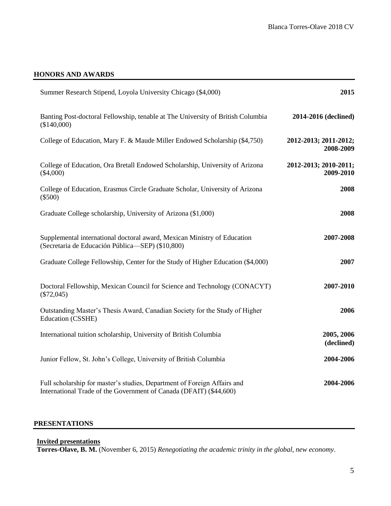# **HONORS AND AWARDS**

| Summer Research Stipend, Loyola University Chicago (\$4,000)                                                                                   | 2015                               |
|------------------------------------------------------------------------------------------------------------------------------------------------|------------------------------------|
| Banting Post-doctoral Fellowship, tenable at The University of British Columbia<br>(\$140,000)                                                 | 2014-2016 (declined)               |
| College of Education, Mary F. & Maude Miller Endowed Scholarship (\$4,750)                                                                     | 2012-2013; 2011-2012;<br>2008-2009 |
| College of Education, Ora Bretall Endowed Scholarship, University of Arizona<br>$(\$4,000)$                                                    | 2012-2013; 2010-2011;<br>2009-2010 |
| College of Education, Erasmus Circle Graduate Scholar, University of Arizona<br>$(\$500)$                                                      | 2008                               |
| Graduate College scholarship, University of Arizona (\$1,000)                                                                                  | 2008                               |
| Supplemental international doctoral award, Mexican Ministry of Education<br>(Secretaria de Educación Pública-SEP) (\$10,800)                   | 2007-2008                          |
| Graduate College Fellowship, Center for the Study of Higher Education (\$4,000)                                                                | 2007                               |
| Doctoral Fellowship, Mexican Council for Science and Technology (CONACYT)<br>$(\$72,045)$                                                      | 2007-2010                          |
| Outstanding Master's Thesis Award, Canadian Society for the Study of Higher<br>Education (CSSHE)                                               | 2006                               |
| International tuition scholarship, University of British Columbia                                                                              | 2005, 2006<br>(declined)           |
| Junior Fellow, St. John's College, University of British Columbia                                                                              | 2004-2006                          |
| Full scholarship for master's studies, Department of Foreign Affairs and<br>International Trade of the Government of Canada (DFAIT) (\$44,600) | 2004-2006                          |

## **PRESENTATIONS**

# **Invited presentations**

**Torres-Olave, B. M.** (November 6, 2015) *Renegotiating the academic trinity in the global, new economy*.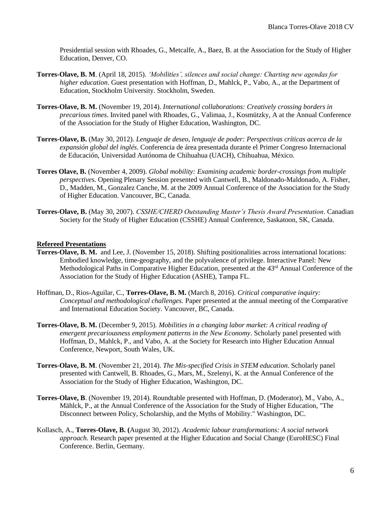Presidential session with Rhoades, G., Metcalfe, A., Baez, B. at the Association for the Study of Higher Education, Denver, CO.

- **Torres-Olave, B. M**. (April 18, 2015). *'Mobilities', silences and social change: Charting new agendas for higher education*. Guest presentation with Hoffman, D., Mahlck, P., Vabo, A., at the Department of Education, Stockholm University. Stockholm, Sweden.
- **Torres-Olave, B. M.** (November 19, 2014). *International collaborations: Creatively crossing borders in precarious times*. Invited panel with Rhoades, G., Valimaa, J., Kosmützky, A at the Annual Conference of the Association for the Study of Higher Education, Washington, DC.
- **Torres-Olave, B.** (May 30, 2012). *Lenguaje de deseo, lenguaje de poder: Perspectivas críticas acerca de la expansión global del inglés*. Conferencia de área presentada durante el Primer Congreso Internacional de Educación, Universidad Autónoma de Chihuahua (UACH), Chihuahua, México.
- **Torres Olave, B.** (November 4, 2009). *Global mobility: Examining academic border-crossings from multiple perspective*s. Opening Plenary Session presented with Cantwell, B., Maldonado-Maldonado, A. Fisher, D., Madden, M., Gonzalez Canche, M. at the 2009 Annual Conference of the Association for the Study of Higher Education. Vancouver, BC, Canada.
- **Torres-Olave, B.** (May 30, 2007). *CSSHE/CHERD Outstanding Master's Thesis Award Presentation*. Canadian Society for the Study of Higher Education (CSSHE) Annual Conference, Saskatoon, SK, Canada.

## **Refereed Presentations**

- **Torres-Olave, B. M.** and Lee, J. (November 15, 2018). Shifting positionalities across international locations: Embodied knowledge, time-geography, and the polyvalence of privilege. Interactive Panel: New Methodological Paths in Comparative Higher Education, presented at the 43<sup>rd</sup> Annual Conference of the Association for the Study of Higher Education (ASHE), Tampa FL.
- Hoffman, D., Rios-Aguilar, C., **Torres-Olave, B. M.** (March 8, 2016). *Critical comparative inquiry: Conceptual and methodological challenges.* Paper presented at the annual meeting of the Comparative and International Education Society. Vancouver, BC, Canada.
- **Torres-Olave, B. M.** (December 9, 2015). *Mobilities in a changing labor market: A critical reading of emergent precariousness employment patterns in the New Economy*. Scholarly panel presented with Hoffman, D., Mahlck, P., and Vabo, A. at the Society for Research into Higher Education Annual Conference, Newport, South Wales, UK.
- **Torres-Olave, B. M**. (November 21, 2014). *The Mis-specified Crisis in STEM education*. Scholarly panel presented with Cantwell, B. Rhoades, G., Mars, M., Szelenyi, K. at the Annual Conference of the Association for the Study of Higher Education, Washington, DC.
- **Torres-Olave, B**. (November 19, 2014). Roundtable presented with Hoffman, D. (Moderator), M., Vabo, A., Mählck, P., at the Annual Conference of the Association for the Study of Higher Education, "The Disconnect between Policy, Scholarship, and the Myths of Mobility." Washington, DC.
- Kollasch, A., **Torres-Olave, B. (**August 30, 2012). *Academic labour transformations: A social network approach.* Research paper presented at the Higher Education and Social Change (EuroHESC) Final Conference. Berlin, Germany.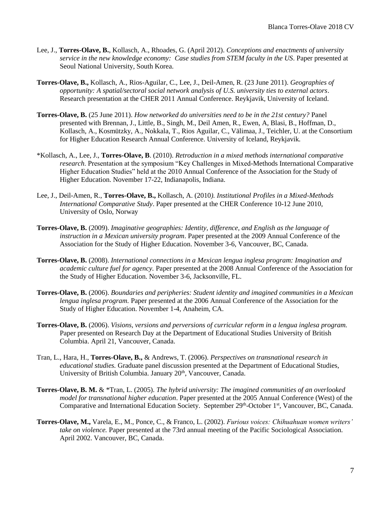- Lee, J., **Torres-Olave, B.**, Kollasch, A., Rhoades, G. (April 2012). *Conceptions and enactments of university service in the new knowledge economy: Case studies from STEM faculty in the US*. Paper presented at Seoul National University, South Korea.
- **Torres-Olave, B.,** Kollasch, A., Rios-Aguilar, C., Lee, J., Deil-Amen, R. (23 June 2011). *Geographies of opportunity: A spatial/sectoral social network analysis of U.S. university ties to external actors*. Research presentation at the CHER 2011 Annual Conference. Reykjavik, University of Iceland.
- **Torres-Olave, B.** (25 June 2011). *How networked do universities need to be in the 21st century?* Panel presented with Brennan, J., Little, B., Singh, M., Deil Amen, R., Ewen, A, Blasi, B., Hoffman, D., Kollasch, A., Kosmützky, A., Nokkala, T., Rios Aguilar, C., Välimaa, J., Teichler, U. at the Consortium for Higher Education Research Annual Conference. University of Iceland, Reykjavik.
- \*Kollasch, A., Lee, J., **Torres-Olave, B**. (2010). *Retroduction in a mixed methods international comparative research*. Presentation at the symposium "Key Challenges in Mixed-Methods International Comparative Higher Education Studies" held at the 2010 Annual Conference of the Association for the Study of Higher Education. November 17-22, Indianapolis, Indiana.
- Lee, J., Deil-Amen, R., **Torres-Olave, B.,** Kollasch, A. (2010*). Institutional Profiles in a Mixed-Methods International Comparative Study*. Paper presented at the CHER Conference 10-12 June 2010, University of Oslo, Norway
- **Torres-Olave, B.** (2009). *Imaginative geographies: Identity, difference, and English as the language of instruction in a Mexican university program*. Paper presented at the 2009 Annual Conference of the Association for the Study of Higher Education. November 3-6, Vancouver, BC, Canada.
- **Torres-Olave, B.** (2008). *International connections in a Mexican lengua inglesa program: Imagination and academic culture fuel for agency.* Paper presented at the 2008 Annual Conference of the Association for the Study of Higher Education. November 3-6, Jacksonville, FL.
- **Torres-Olave, B.** (2006). *Boundaries and peripheries: Student identity and imagined communities in a Mexican lengua inglesa program.* Paper presented at the 2006 Annual Conference of the Association for the Study of Higher Education. November 1-4, Anaheim, CA.
- **Torres-Olave, B.** (2006). *Visions, versions and perversions of curricular reform in a lengua inglesa program.* Paper presented on Research Day at the Department of Educational Studies University of British Columbia. April 21, Vancouver, Canada.
- Tran, L., Hara, H., **Torres-Olave, B.,** & Andrews, T. (2006). *Perspectives on transnational research in educational studies.* Graduate panel discussion presented at the Department of Educational Studies, University of British Columbia. January 20<sup>th</sup>, Vancouver, Canada.
- **Torres-Olave, B. M.** & \*Tran, L. (2005). *The hybrid university: The imagined communities of an overlooked model for transnational higher education*. Paper presented at the 2005 Annual Conference (West) of the Comparative and International Education Society. September 29<sup>th</sup>-October 1<sup>st</sup>, Vancouver, BC, Canada.
- **Torres-Olave, M.,** Varela, E., M., Ponce, C., & Franco, L. (2002). *Furious voices: Chihuahuan women writers' take on violence.* Paper presented at the 73rd annual meeting of the Pacific Sociological Association. April 2002. Vancouver, BC, Canada.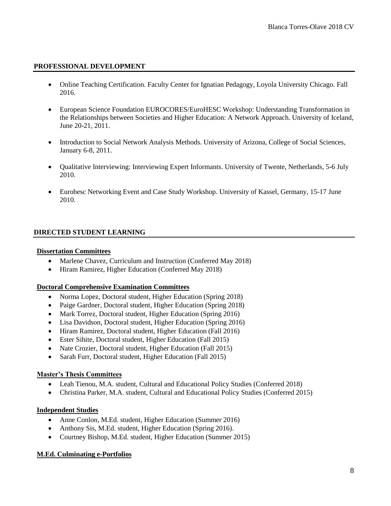## **PROFESSIONAL DEVELOPMENT**

- Online Teaching Certification. Faculty Center for Ignatian Pedagogy, Loyola University Chicago. Fall 2016.
- European Science Foundation EUROCORES/EuroHESC Workshop: Understanding Transformation in the Relationships between Societies and Higher Education: A Network Approach. University of Iceland, June 20-21, 2011.
- Introduction to Social Network Analysis Methods. University of Arizona, College of Social Sciences, January 6-8, 2011.
- Qualitative Interviewing: Interviewing Expert Informants. University of Twente, Netherlands, 5-6 July 2010.
- Eurohesc Networking Event and Case Study Workshop. University of Kassel, Germany, 15-17 June 2010.

# **DIRECTED STUDENT LEARNING**

## **Dissertation Committees**

- Marlene Chavez, Curriculum and Instruction (Conferred May 2018)
- Hiram Ramirez, Higher Education (Conferred May 2018)

## **Doctoral Comprehensive Examination Committees**

- Norma Lopez, Doctoral student, Higher Education (Spring 2018)
- Paige Gardner, Doctoral student, Higher Education (Spring 2018)
- Mark Torrez, Doctoral student, Higher Education (Spring 2016)
- Lisa Davidson, Doctoral student, Higher Education (Spring 2016)
- Hiram Ramirez, Doctoral student, Higher Education (Fall 2016)
- Ester Sihite, Doctoral student, Higher Education (Fall 2015)
- Nate Crozier, Doctoral student, Higher Education (Fall 2015)
- Sarah Furr, Doctoral student, Higher Education (Fall 2015)

## **Master's Thesis Committees**

- Leah Tienou, M.A. student, Cultural and Educational Policy Studies (Conferred 2018)
- Christina Parker, M.A. student, Cultural and Educational Policy Studies (Conferred 2015)

## **Independent Studies**

- Anne Conlon, M.Ed. student, Higher Education (Summer 2016)
- Anthony Sis, M.Ed. student, Higher Education (Spring 2016).
- Courtney Bishop, M.Ed. student, Higher Education (Summer 2015)

## **M.Ed. Culminating e-Portfolios**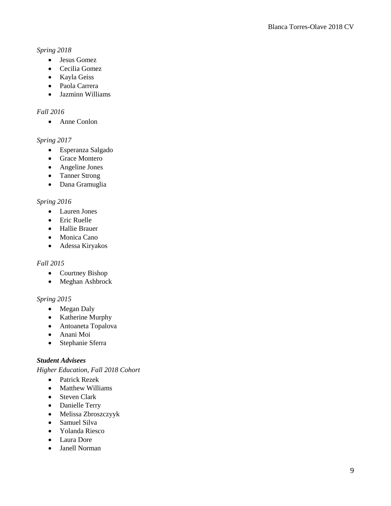# *Spring 2018*

- Jesus Gomez
- Cecilia Gomez
- Kayla Geiss
- Paola Carrera
- Jazminn Williams

# *Fall 2016*

• Anne Conlon

# *Spring 2017*

- Esperanza Salgado
- Grace Montero
- Angeline Jones
- Tanner Strong
- Dana Gramuglia

# *Spring 2016*

- Lauren Jones
- Eric Ruelle
- Hallie Brauer
- Monica Cano
- Adessa Kiryakos

# *Fall 2015*

- Courtney Bishop
- Meghan Ashbrock

# *Spring 2015*

- Megan Daly
- Katherine Murphy
- Antoaneta Topalova
- Anani Moi
- Stephanie Sferra

# *Student Advisees*

*Higher Education, Fall 2018 Cohort*

- Patrick Rezek
- Matthew Williams
- Steven Clark
- Danielle Terry
- Melissa Zbroszczyyk
- Samuel Silva
- Yolanda Riesco
- Laura Dore
- Janell Norman